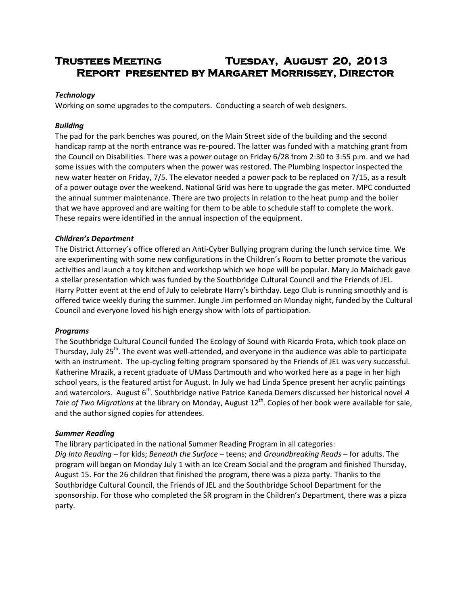# **Trustees Meeting Tuesday, August 20, 2013 Report presented by Margaret Morrissey, Director**

#### *Technology*

Working on some upgrades to the computers. Conducting a search of web designers.

## *Building*

The pad for the park benches was poured, on the Main Street side of the building and the second handicap ramp at the north entrance was re-poured. The latter was funded with a matching grant from the Council on Disabilities. There was a power outage on Friday 6/28 from 2:30 to 3:55 p.m. and we had some issues with the computers when the power was restored. The Plumbing Inspector inspected the new water heater on Friday, 7/5. The elevator needed a power pack to be replaced on 7/15, as a result of a power outage over the weekend. National Grid was here to upgrade the gas meter. MPC conducted the annual summer maintenance. There are two projects in relation to the heat pump and the boiler that we have approved and are waiting for them to be able to schedule staff to complete the work. These repairs were identified in the annual inspection of the equipment.

## *Children's Department*

The District Attorney's office offered an Anti-Cyber Bullying program during the lunch service time. We are experimenting with some new configurations in the Children's Room to better promote the various activities and launch a toy kitchen and workshop which we hope will be popular. Mary Jo Maichack gave a stellar presentation which was funded by the Southbridge Cultural Council and the Friends of JEL. Harry Potter event at the end of July to celebrate Harry's birthday. Lego Club is running smoothly and is offered twice weekly during the summer. Jungle Jim performed on Monday night, funded by the Cultural Council and everyone loved his high energy show with lots of participation.

#### *Programs*

The Southbridge Cultural Council funded The Ecology of Sound with Ricardo Frota, which took place on Thursday, July 25<sup>th</sup>. The event was well-attended, and everyone in the audience was able to participate with an instrument. The up-cycling felting program sponsored by the Friends of JEL was very successful. Katherine Mrazik, a recent graduate of UMass Dartmouth and who worked here as a page in her high school years, is the featured artist for August. In July we had Linda Spence present her acrylic paintings and watercolors. August 6<sup>th</sup>. Southbridge native Patrice Kaneda Demers discussed her historical novel A *Tale of Two Migrations* at the library on Monday, August 12<sup>th</sup>. Copies of her book were available for sale, and the author signed copies for attendees.

#### *Summer Reading*

The library participated in the national Summer Reading Program in all categories: *Dig Into Reading* – for kids; *Beneath the Surface* – teens; and *Groundbreaking Reads* – for adults. The program will began on Monday July 1 with an Ice Cream Social and the program and finished Thursday, August 15. For the 26 children that finished the program, there was a pizza party. Thanks to the Southbridge Cultural Council, the Friends of JEL and the Southbridge School Department for the sponsorship. For those who completed the SR program in the Children's Department, there was a pizza party.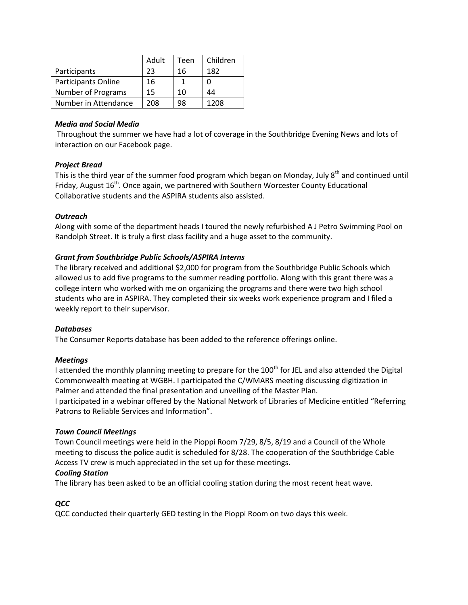|                            | Adult | Teen | Children |
|----------------------------|-------|------|----------|
| Participants               | 23    | 16   | 182      |
| <b>Participants Online</b> | 16    |      |          |
| <b>Number of Programs</b>  | 15    | 10   | 44       |
| Number in Attendance       | 208   | 98   | 1208     |

#### *Media and Social Media*

Throughout the summer we have had a lot of coverage in the Southbridge Evening News and lots of interaction on our Facebook page.

## *Project Bread*

This is the third year of the summer food program which began on Monday, July 8<sup>th</sup> and continued until Friday, August  $16<sup>th</sup>$ . Once again, we partnered with Southern Worcester County Educational Collaborative students and the ASPIRA students also assisted.

## *Outreach*

Along with some of the department heads I toured the newly refurbished A J Petro Swimming Pool on Randolph Street. It is truly a first class facility and a huge asset to the community.

## *Grant from Southbridge Public Schools/ASPIRA Interns*

The library received and additional \$2,000 for program from the Southbridge Public Schools which allowed us to add five programs to the summer reading portfolio. Along with this grant there was a college intern who worked with me on organizing the programs and there were two high school students who are in ASPIRA. They completed their six weeks work experience program and I filed a weekly report to their supervisor.

#### *Databases*

The Consumer Reports database has been added to the reference offerings online.

#### *Meetings*

I attended the monthly planning meeting to prepare for the 100<sup>th</sup> for JEL and also attended the Digital Commonwealth meeting at WGBH. I participated the C/WMARS meeting discussing digitization in Palmer and attended the final presentation and unveiling of the Master Plan.

I participated in a webinar offered by the National Network of Libraries of Medicine entitled "Referring Patrons to Reliable Services and Information".

#### *Town Council Meetings*

Town Council meetings were held in the Pioppi Room 7/29, 8/5, 8/19 and a Council of the Whole meeting to discuss the police audit is scheduled for 8/28. The cooperation of the Southbridge Cable Access TV crew is much appreciated in the set up for these meetings.

#### *Cooling Station*

The library has been asked to be an official cooling station during the most recent heat wave.

# *QCC*

QCC conducted their quarterly GED testing in the Pioppi Room on two days this week.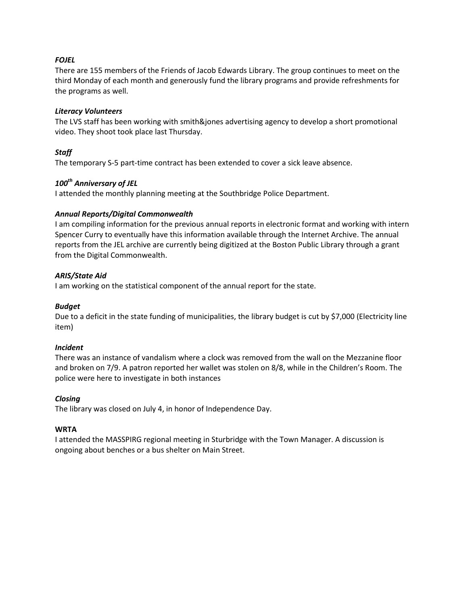## *FOJEL*

There are 155 members of the Friends of Jacob Edwards Library. The group continues to meet on the third Monday of each month and generously fund the library programs and provide refreshments for the programs as well.

#### *Literacy Volunteers*

The LVS staff has been working with smith&jones advertising agency to develop a short promotional video. They shoot took place last Thursday.

# *Staff*

The temporary S-5 part-time contract has been extended to cover a sick leave absence.

## *100th Anniversary of JEL*

I attended the monthly planning meeting at the Southbridge Police Department.

#### *Annual Reports/Digital Commonwealth*

I am compiling information for the previous annual reports in electronic format and working with intern Spencer Curry to eventually have this information available through the Internet Archive. The annual reports from the JEL archive are currently being digitized at the Boston Public Library through a grant from the Digital Commonwealth.

#### *ARIS/State Aid*

I am working on the statistical component of the annual report for the state.

#### *Budget*

Due to a deficit in the state funding of municipalities, the library budget is cut by \$7,000 (Electricity line item)

#### *Incident*

There was an instance of vandalism where a clock was removed from the wall on the Mezzanine floor and broken on 7/9. A patron reported her wallet was stolen on 8/8, while in the Children's Room. The police were here to investigate in both instances

#### *Closing*

The library was closed on July 4, in honor of Independence Day.

#### **WRTA**

I attended the MASSPIRG regional meeting in Sturbridge with the Town Manager. A discussion is ongoing about benches or a bus shelter on Main Street.